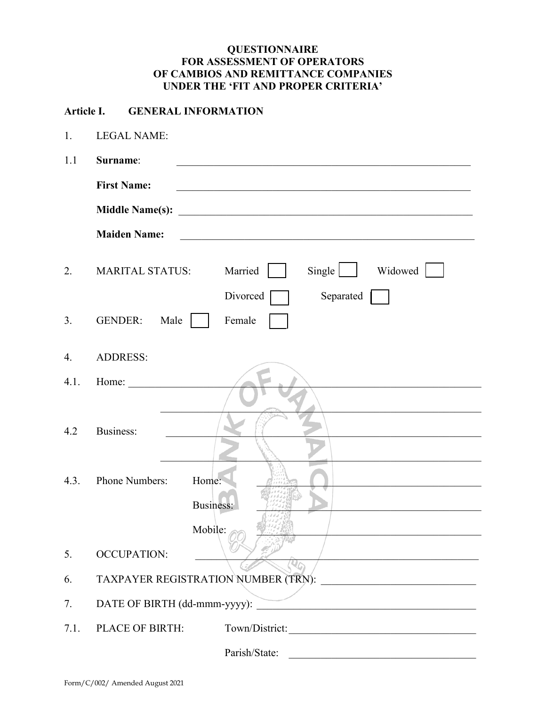## **QUESTIONNAIRE FOR ASSESSMENT OF OPERATORS OF CAMBIOS AND REMITTANCE COMPANIES UNDER THE 'FIT AND PROPER CRITERIA'**

## **Article I. GENERAL INFORMATION**

1. LEGAL NAME:

| 1.1  | Surname:                                                                                                                                    |
|------|---------------------------------------------------------------------------------------------------------------------------------------------|
|      | <b>First Name:</b>                                                                                                                          |
|      | <b>Middle Name(s):</b><br><u> 2008 - Jan Barbara, margaret eta politikaria (h. 1878).</u>                                                   |
|      | <b>Maiden Name:</b><br><u> 1989 - Johann Stein, marwolaethau a bhann an t-Amhair ann an t-Amhair an t-Amhair an t-Amhair an t-Amhair an</u> |
| 2.   | Single<br>Widowed<br>Married<br><b>MARITAL STATUS:</b><br>Divorced<br>Separated                                                             |
| 3.   | Female<br><b>GENDER:</b><br>Male                                                                                                            |
| 4.   | <b>ADDRESS:</b>                                                                                                                             |
| 4.1. | Home:                                                                                                                                       |
| 4.2  | Business:                                                                                                                                   |
| 4.3. | Phone Numbers:<br>Home:<br>Business:                                                                                                        |
|      | Mobile:                                                                                                                                     |
| 5.   | <b>OCCUPATION:</b>                                                                                                                          |
| 6.   | TAXPAYER REGISTRATION NUMBER (TRN):                                                                                                         |
| 7.   |                                                                                                                                             |
| 7.1. | PLACE OF BIRTH:<br>Town/District:                                                                                                           |
|      | Parish/State:                                                                                                                               |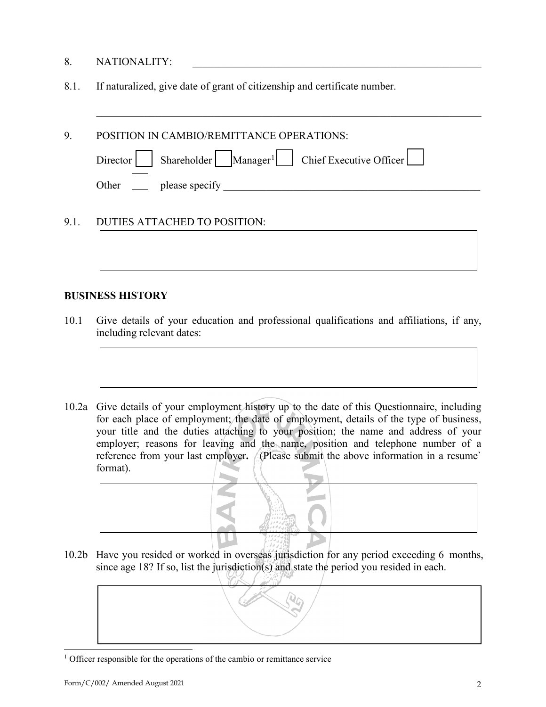- 8. NATIONALITY:
- 8.1. If naturalized, give date of grant of citizenship and certificate number.

| 9.   | POSITION IN CAMBIO/REMITTANCE OPERATIONS:                               |
|------|-------------------------------------------------------------------------|
|      | Director   Shareholder   Manager <sup>1</sup>   Chief Executive Officer |
|      | please specify<br>Other                                                 |
|      |                                                                         |
| 9.1. | DUTIES ATTACHED TO POSITION:                                            |
|      |                                                                         |

 $\mathcal{L}_\text{G}$  , and the contribution of the contribution of the contribution of the contribution of the contribution of the contribution of the contribution of the contribution of the contribution of the contribution of t

## **BUSINESS HISTORY**

- 10.1 Give details of your education and professional qualifications and affiliations, if any, including relevant dates:
- 10.2a Give details of your employment history up to the date of this Questionnaire, including for each place of employment; the date of employment, details of the type of business, your title and the duties attaching to your position; the name and address of your employer; reasons for leaving and the name, position and telephone number of a reference from your last employer**.** (Please submit the above information in a resume` format).



10.2b Have you resided or worked in overseas jurisdiction for any period exceeding 6 months, since age 18? If so, list the jurisdiction(s) and state the period you resided in each.

<span id="page-1-0"></span>

<sup>&</sup>lt;sup>1</sup> Officer responsible for the operations of the cambio or remittance service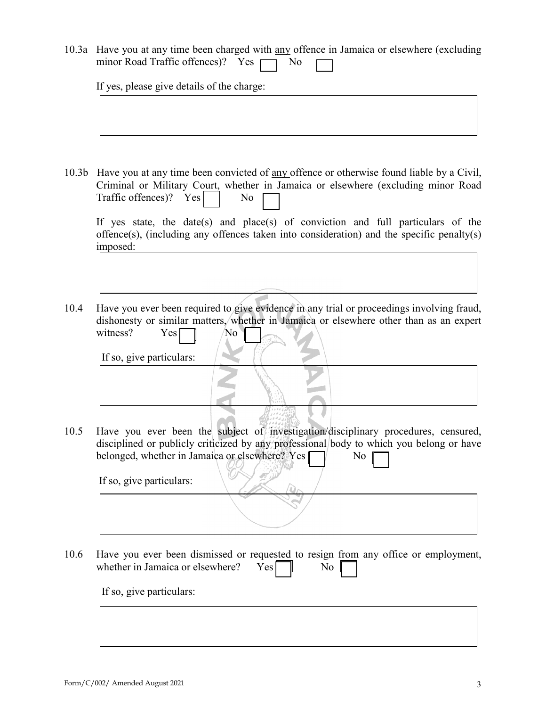10.3a Have you at any time been charged with any offence in Jamaica or elsewhere (excluding minor Road Traffic offences)? Yes  $\Box$  No

If yes, please give details of the charge:

10.3b Have you at any time been convicted of any offence or otherwise found liable by a Civil, Criminal or Military Court, whether in Jamaica or elsewhere (excluding minor Road Traffic offences)?  $Yes$  No

If yes state, the date(s) and place(s) of conviction and full particulars of the offence(s), (including any offences taken into consideration) and the specific penalty(s) imposed:

10.4 Have you ever been required to give evidence in any trial or proceedings involving fraud, dishonesty or similar matters, whether in Jamaica or elsewhere other than as an expert witness? Yes No

If so, give particulars:

10.5 Have you ever been the subject of investigation/disciplinary procedures, censured, disciplined or publicly criticized by any professional body to which you belong or have belonged, whether in Jamaica or elsewhere?  $Yes \Box$  No

If so, give particulars:

10.6 Have you ever been dismissed or requested to resign from any office or employment, whether in Jamaica or elsewhere?  $Yes \nightharpoonup No$ 

If so, give particulars: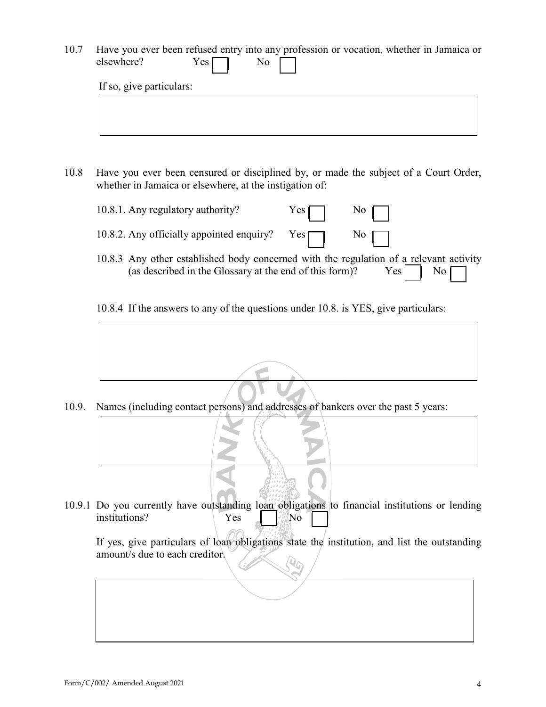- 10.7 Have you ever been refused entry into any profession or vocation, whether in Jamaica or elsewhere? Yes No If so, give particulars:
- 10.8 Have you ever been censured or disciplined by, or made the subject of a Court Order, whether in Jamaica or elsewhere, at the instigation of:
	- 10.8.1. Any regulatory authority? Yes No 10.8.2. Any officially appointed enquiry?  $Yes \frown$  No
	- 10.8.3 Any other established body concerned with the regulation of a relevant activity (as described in the Glossary at the end of this form)?  $Yes \quad \text{No}$
	- 10.8.4 If the answers to any of the questions under 10.8. is YES, give particulars:

10.9. Names (including contact persons) and addresses of bankers over the past 5 years:

10.9.1 Do you currently have outstanding loan obligations to financial institutions or lending institutions? Yes No

If yes, give particulars of loan obligations state the institution, and list the outstanding amount/s due to each creditor.  $\boldsymbol{Q}_{\boldsymbol{G}}$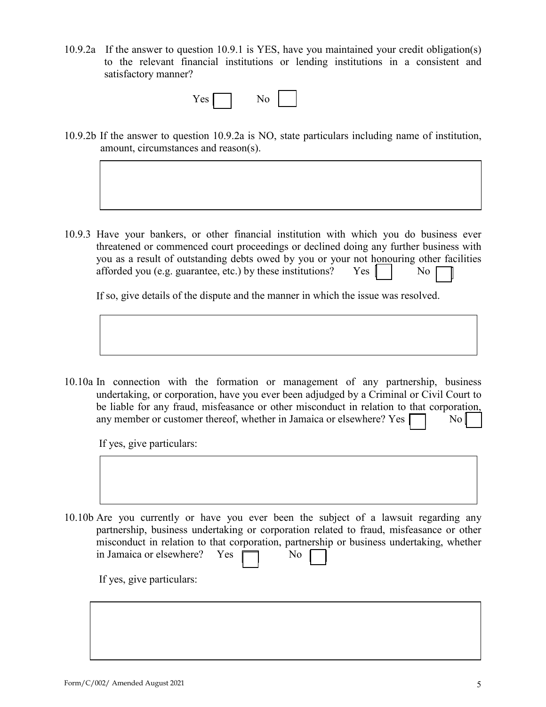10.9.2a If the answer to question 10.9.1 is YES, have you maintained your credit obligation(s) to the relevant financial institutions or lending institutions in a consistent and satisfactory manner?

| es<br>--<br>- | VC.<br>-<br>- |  |  |
|---------------|---------------|--|--|
|---------------|---------------|--|--|

10.9.2b If the answer to question 10.9.2a is NO, state particulars including name of institution, amount, circumstances and reason(s).

10.9.3 Have your bankers, or other financial institution with which you do business ever threatened or commenced court proceedings or declined doing any further business with you as a result of outstanding debts owed by you or your not honouring other facilities afforded you (e.g. guarantee, etc.) by these institutions? Yes  $\parallel \parallel$  No

If so, give details of the dispute and the manner in which the issue was resolved.

10.10a In connection with the formation or management of any partnership, business undertaking, or corporation, have you ever been adjudged by a Criminal or Civil Court to be liable for any fraud, misfeasance or other misconduct in relation to that corporation, any member or customer thereof, whether in Jamaica or elsewhere? Yes  $\Box$  No

If yes, give particulars:

10.10b Are you currently or have you ever been the subject of a lawsuit regarding any partnership, business undertaking or corporation related to fraud, misfeasance or other misconduct in relation to that corporation, partnership or business undertaking, whether in Jamaica or elsewhere? Yes  $\Box$  No

If yes, give particulars: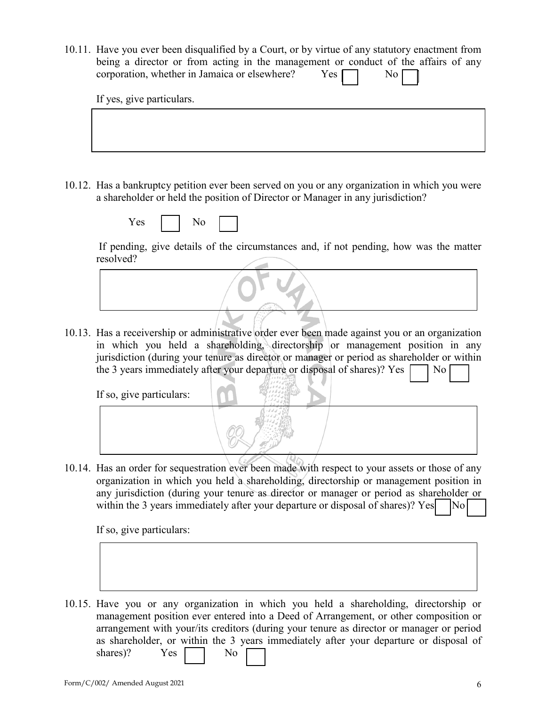10.11. Have you ever been disqualified by a Court, or by virtue of any statutory enactment from being a director or from acting in the management or conduct of the affairs of any corporation, whether in Jamaica or elsewhere?  $Yes \Box$  No

If yes, give particulars.

10.12. Has a bankruptcy petition ever been served on you or any organization in which you were a shareholder or held the position of Director or Manager in any jurisdiction?

| -- |  |  |
|----|--|--|
|----|--|--|

If pending, give details of the circumstances and, if not pending, how was the matter resolved?

10.13. Has a receivership or administrative order ever been made against you or an organization in which you held a shareholding, directorship or management position in any jurisdiction (during your tenure as director or manager or period as shareholder or within the 3 years immediately after your departure or disposal of shares)? Yes  $\Box$  No

If so, give particulars:



10.14. Has an order for sequestration ever been made with respect to your assets or those of any organization in which you held a shareholding, directorship or management position in any jurisdiction (during your tenure as director or manager or period as shareholder or within the 3 years immediately after your departure or disposal of shares)? Yes  $\vert$  No

If so, give particulars:

10.15. Have you or any organization in which you held a shareholding, directorship or management position ever entered into a Deed of Arrangement, or other composition or arrangement with your/its creditors (during your tenure as director or manager or period as shareholder, or within the 3 years immediately after your departure or disposal of shares)? Yes No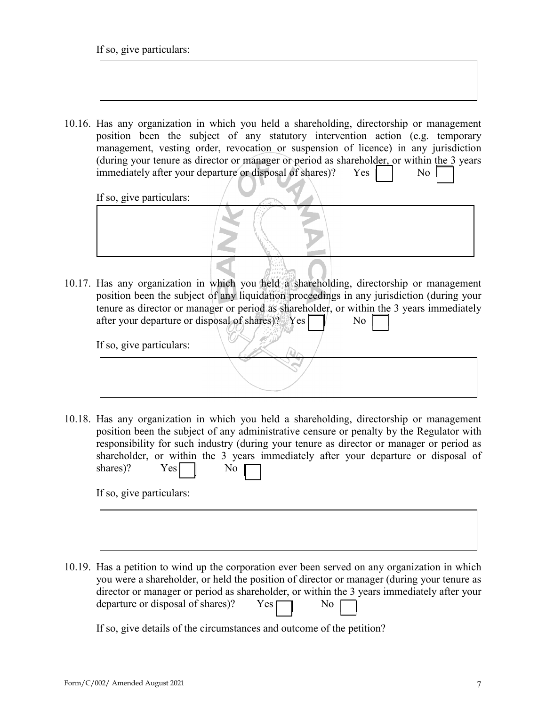If so, give particulars:

10.16. Has any organization in which you held a shareholding, directorship or management position been the subject of any statutory intervention action (e.g. temporary management, vesting order, revocation or suspension of licence) in any jurisdiction (during your tenure as director or manager or period as shareholder, or within the 3 years immediately after your departure or disposal of shares)?  $Yes$   $\parallel$  No

If so, give particulars:

- 
- 10.17. Has any organization in which you held a shareholding, directorship or management position been the subject of any liquidation proceedings in any jurisdiction (during your tenure as director or manager or period as shareholder, or within the 3 years immediately after your departure or disposal of shares)? Yes  $\Box$  No

If so, give particulars:

10.18. Has any organization in which you held a shareholding, directorship or management position been the subject of any administrative censure or penalty by the Regulator with responsibility for such industry (during your tenure as director or manager or period as shareholder, or within the 3 years immediately after your departure or disposal of shares)?  $Yes$   $\parallel$  No

If so, give particulars:

10.19. Has a petition to wind up the corporation ever been served on any organization in which you were a shareholder, or held the position of director or manager (during your tenure as director or manager or period as shareholder, or within the 3 years immediately after your departure or disposal of shares)?  $Yes \Box$  No

If so, give details of the circumstances and outcome of the petition?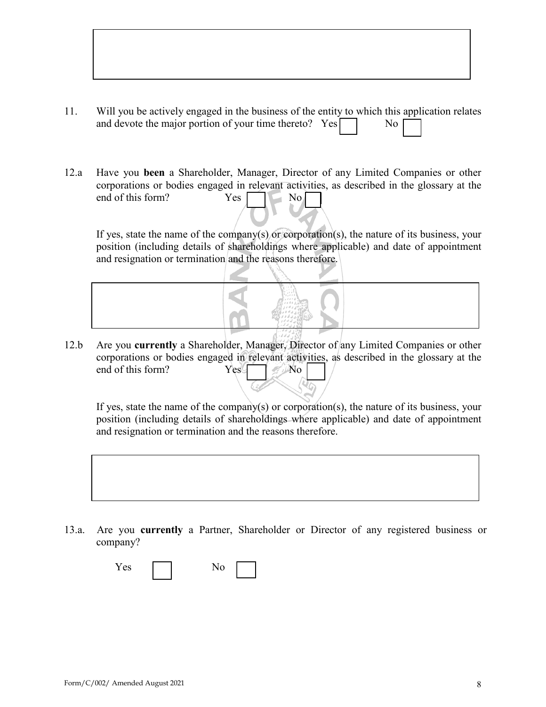| Will you be actively engaged in the business of the entity to which this application relates |                        |  |
|----------------------------------------------------------------------------------------------|------------------------|--|
| and devote the major portion of your time thereto? $Yes \Box$                                | $\overline{\text{No}}$ |  |

12.a Have you **been** a Shareholder, Manager, Director of any Limited Companies or other corporations or bodies engaged in relevant activities, as described in the glossary at the end of this form?  $Yes \quad \text{No}$ 

If yes, state the name of the company(s) or corporation(s), the nature of its business, your position (including details of shareholdings where applicable) and date of appointment and resignation or termination and the reasons therefore.



12.b Are you **currently** a Shareholder, Manager, Director of any Limited Companies or other corporations or bodies engaged in relevant activities, as described in the glossary at the end of this form? Yes No

If yes, state the name of the company(s) or corporation(s), the nature of its business, your position (including details of shareholdings where applicable) and date of appointment and resignation or termination and the reasons therefore.



13.a. Are you **currently** a Partner, Shareholder or Director of any registered business or company?

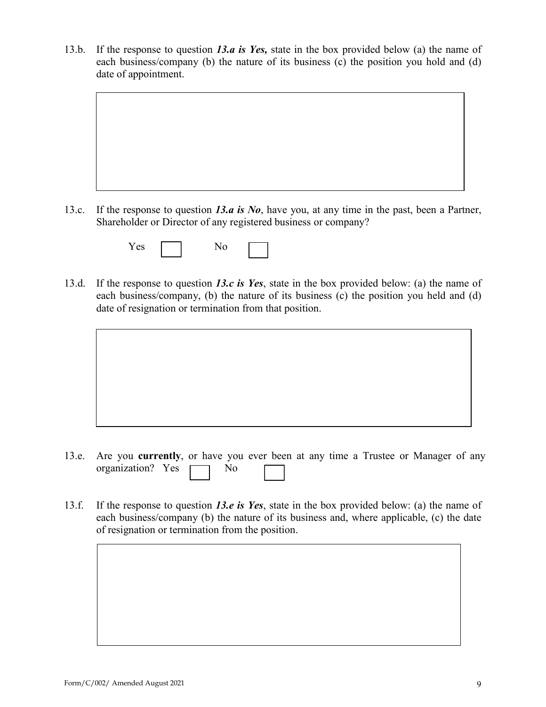13.b. If the response to question *13.a is Yes,* state in the box provided below (a) the name of each business/company (b) the nature of its business (c) the position you hold and (d) date of appointment.



| ∸ |  |  |
|---|--|--|
|---|--|--|

- 13.d. If the response to question *13.c is Yes*, state in the box provided below: (a) the name of each business/company, (b) the nature of its business (c) the position you held and (d) date of resignation or termination from that position.
	-
- 13.e. Are you **currently**, or have you ever been at any time a Trustee or Manager of any organization? Yes  $\Box$  No
- 13.f. If the response to question *13.e is Yes*, state in the box provided below: (a) the name of each business/company (b) the nature of its business and, where applicable, (c) the date of resignation or termination from the position.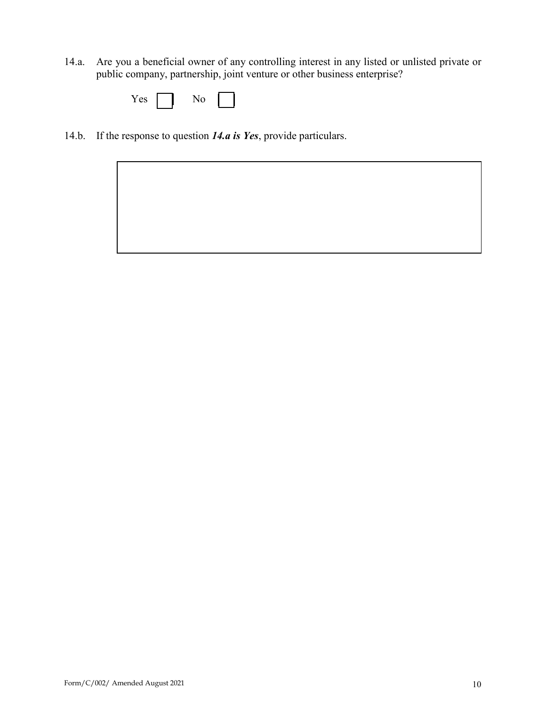14.a. Are you a beneficial owner of any controlling interest in any listed or unlisted private or public company, partnership, joint venture or other business enterprise?

| $\sim$ |  |  |  |
|--------|--|--|--|
|--------|--|--|--|

14.b. If the response to question *14.a is Yes*, provide particulars.